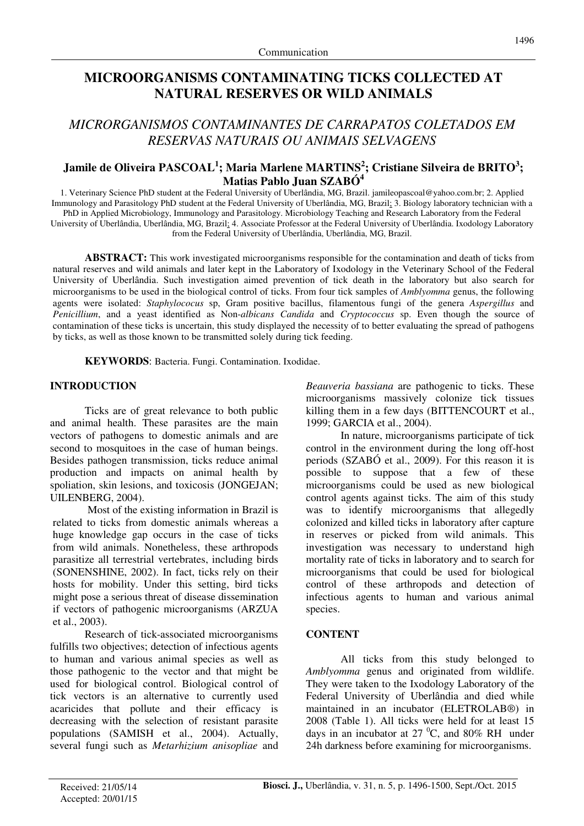# **MICROORGANISMS CONTAMINATING TICKS COLLECTED AT NATURAL RESERVES OR WILD ANIMALS**

## *MICRORGANISMOS CONTAMINANTES DE CARRAPATOS COLETADOS EM RESERVAS NATURAIS OU ANIMAIS SELVAGENS*

## **Jamile de Oliveira PASCOAL<sup>1</sup> ; Maria Marlene MARTINS<sup>2</sup> ; Cristiane Silveira de BRITO<sup>3</sup> ; Matias Pablo Juan SZABÓ<sup>4</sup>**

1. Veterinary Science PhD student at the Federal University of Uberlândia, MG, Brazil. jamileopascoal@yahoo.com.br; 2. Applied Immunology and Parasitology PhD student at the Federal University of Uberlândia, MG, Brazil; 3. Biology laboratory technician with a PhD in Applied Microbiology, Immunology and Parasitology. Microbiology Teaching and Research Laboratory from the Federal University of Uberlândia, Uberlândia, MG, Brazil; 4. Associate Professor at the Federal University of Uberlândia. Ixodology Laboratory from the Federal University of Uberlândia, Uberlândia, MG, Brazil.

**ABSTRACT:** This work investigated microorganisms responsible for the contamination and death of ticks from natural reserves and wild animals and later kept in the Laboratory of Ixodology in the Veterinary School of the Federal University of Uberlândia. Such investigation aimed prevention of tick death in the laboratory but also search for microorganisms to be used in the biological control of ticks. From four tick samples of *Amblyomma* genus, the following agents were isolated: *Staphylococus* sp, Gram positive bacillus, filamentous fungi of the genera *Aspergillus* and *Penicillium*, and a yeast identified as Non-*albicans Candida* and *Cryptococcus* sp. Even though the source of contamination of these ticks is uncertain, this study displayed the necessity of to better evaluating the spread of pathogens by ticks, as well as those known to be transmitted solely during tick feeding.

**KEYWORDS**: Bacteria. Fungi. Contamination. Ixodidae.

#### **INTRODUCTION**

Ticks are of great relevance to both public and animal health. These parasites are the main vectors of pathogens to domestic animals and are second to mosquitoes in the case of human beings. Besides pathogen transmission, ticks reduce animal production and impacts on animal health by spoliation, skin lesions, and toxicosis (JONGEJAN; UILENBERG, 2004).

Most of the existing information in Brazil is related to ticks from domestic animals whereas a huge knowledge gap occurs in the case of ticks from wild animals. Nonetheless, these arthropods parasitize all terrestrial vertebrates, including birds (SONENSHINE, 2002). In fact, ticks rely on their hosts for mobility. Under this setting, bird ticks might pose a serious threat of disease dissemination if vectors of pathogenic microorganisms (ARZUA et al., 2003).

Research of tick-associated microorganisms fulfills two objectives; detection of infectious agents to human and various animal species as well as those pathogenic to the vector and that might be used for biological control. Biological control of tick vectors is an alternative to currently used acaricides that pollute and their efficacy is decreasing with the selection of resistant parasite populations (SAMISH et al., 2004). Actually, several fungi such as *Metarhizium anisopliae* and *Beauveria bassiana* are pathogenic to ticks. These microorganisms massively colonize tick tissues killing them in a few days (BITTENCOURT et al., 1999; GARCIA et al., 2004).

In nature, microorganisms participate of tick control in the environment during the long off-host periods (SZABÓ et al., 2009). For this reason it is possible to suppose that a few of these microorganisms could be used as new biological control agents against ticks. The aim of this study was to identify microorganisms that allegedly colonized and killed ticks in laboratory after capture in reserves or picked from wild animals. This investigation was necessary to understand high mortality rate of ticks in laboratory and to search for microorganisms that could be used for biological control of these arthropods and detection of infectious agents to human and various animal species.

### **CONTENT**

All ticks from this study belonged to *Amblyomma* genus and originated from wildlife. They were taken to the Ixodology Laboratory of the Federal University of Uberlândia and died while maintained in an incubator (ELETROLAB®) in 2008 (Table 1). All ticks were held for at least 15 days in an incubator at  $27\degree C$ , and  $80\%$  RH under 24h darkness before examining for microorganisms.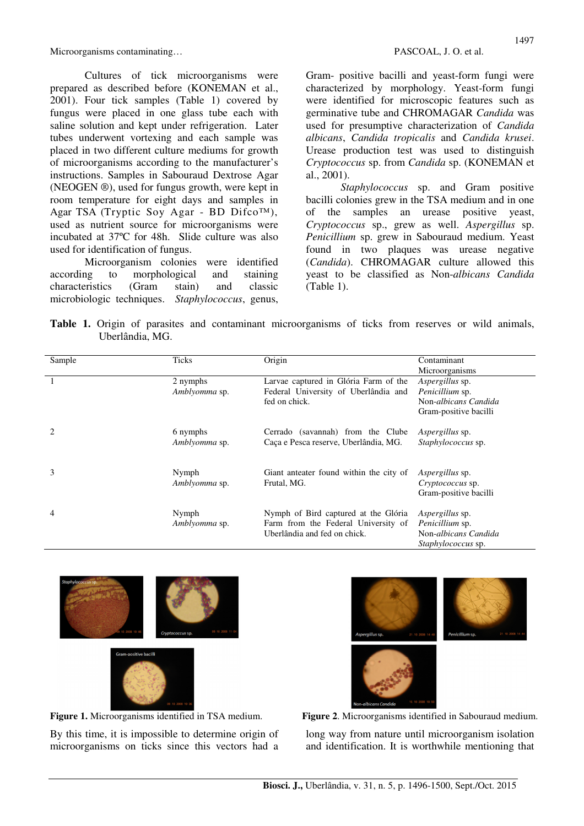Microorganisms contaminating…  $PASCOAL$ , J. O. et al.

Cultures of tick microorganisms were prepared as described before (KONEMAN et al., 2001). Four tick samples (Table 1) covered by fungus were placed in one glass tube each with saline solution and kept under refrigeration. Later tubes underwent vortexing and each sample was placed in two different culture mediums for growth of microorganisms according to the manufacturer's instructions. Samples in Sabouraud Dextrose Agar (NEOGEN ®), used for fungus growth, were kept in room temperature for eight days and samples in Agar TSA (Tryptic Soy Agar - BD Difco™), used as nutrient source for microorganisms were incubated at 37ºC for 48h. Slide culture was also used for identification of fungus.

Microorganism colonies were identified according to morphological and staining characteristics (Gram stain) and classic microbiologic techniques. *Staphylococcus*, genus,

Gram- positive bacilli and yeast-form fungi were characterized by morphology. Yeast-form fungi were identified for microscopic features such as germinative tube and CHROMAGAR *Candida* was used for presumptive characterization of *Candida albicans*, *Candida tropicalis* and *Candida krusei*. Urease production test was used to distinguish *Cryptococcus* sp. from *Candida* sp. (KONEMAN et al., 2001).

*Staphylococcus* sp. and Gram positive bacilli colonies grew in the TSA medium and in one of the samples an urease positive yeast, *Cryptococcus* sp., grew as well. *Aspergillus* sp. *Penicillium* sp. grew in Sabouraud medium. Yeast found in two plaques was urease negative (*Candida*). CHROMAGAR culture allowed this yeast to be classified as Non-*albicans Candida* (Table 1).

**Table 1.** Origin of parasites and contaminant microorganisms of ticks from reserves or wild animals, Uberlândia, MG.

| Sample | Ticks                  | Origin                                                              | Contaminant               |
|--------|------------------------|---------------------------------------------------------------------|---------------------------|
|        |                        |                                                                     | Microorganisms            |
|        | 2 nymphs               | Larvae captured in Glória Farm of the                               | <i>Aspergillus</i> sp.    |
|        | Amblyomma sp.          | Federal University of Uberlândia and                                | Penicillium sp.           |
|        |                        | fed on chick.                                                       | Non-albicans Candida      |
|        |                        |                                                                     | Gram-positive bacilli     |
|        | 6 nymphs               | Cerrado (savannah) from the Clube                                   | <i>Aspergillus</i> sp.    |
|        | Amblyomma sp.          | Caça e Pesca reserve, Uberlândia, MG.                               | Staphylococcus sp.        |
|        |                        |                                                                     |                           |
| 3      | Nymph<br>Amblyomma sp. | Giant anteater found within the city of<br>Frutal, MG.              | <i>Aspergillus</i> sp.    |
|        |                        |                                                                     | <i>Cryptococcus</i> sp.   |
|        |                        |                                                                     | Gram-positive bacilli     |
| 4      | Nymph                  | Nymph of Bird captured at the Glória                                | <i>Aspergillus</i> sp.    |
|        | Amblyomma sp.          | Farm from the Federal University of<br>Uberlândia and fed on chick. | Penicillium sp.           |
|        |                        |                                                                     | Non-albicans Candida      |
|        |                        |                                                                     | <i>Staphylococcus</i> sp. |





By this time, it is impossible to determine origin of microorganisms on ticks since this vectors had a



**Figure 2.** Microorganisms identified in Sabouraud medium.

long way from nature until microorganism isolation and identification. It is worthwhile mentioning that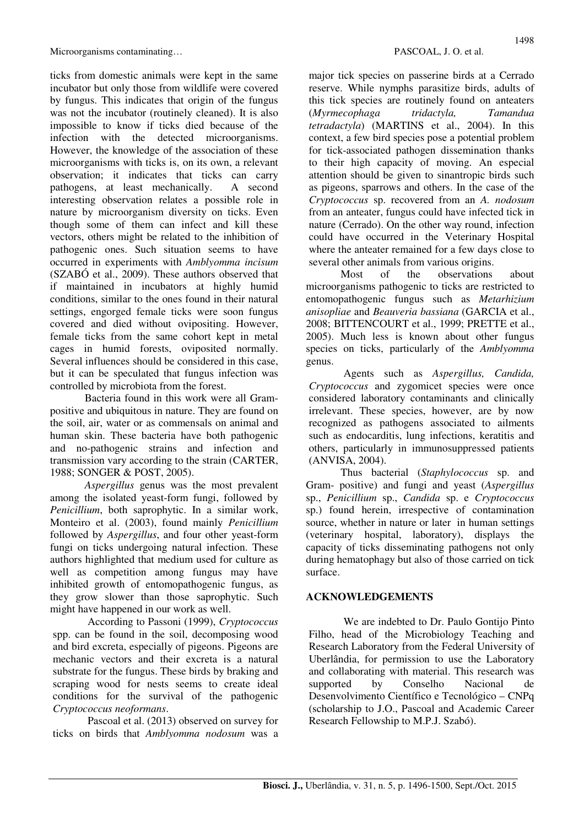ticks from domestic animals were kept in the same incubator but only those from wildlife were covered by fungus. This indicates that origin of the fungus was not the incubator (routinely cleaned). It is also impossible to know if ticks died because of the infection with the detected microorganisms. However, the knowledge of the association of these microorganisms with ticks is, on its own, a relevant observation; it indicates that ticks can carry pathogens, at least mechanically. A second interesting observation relates a possible role in nature by microorganism diversity on ticks. Even though some of them can infect and kill these vectors, others might be related to the inhibition of pathogenic ones. Such situation seems to have occurred in experiments with *Amblyomma incisum* (SZABÓ et al., 2009). These authors observed that if maintained in incubators at highly humid conditions, similar to the ones found in their natural settings, engorged female ticks were soon fungus covered and died without ovipositing. However, female ticks from the same cohort kept in metal cages in humid forests, oviposited normally. Several influences should be considered in this case, but it can be speculated that fungus infection was controlled by microbiota from the forest.

Bacteria found in this work were all Grampositive and ubiquitous in nature. They are found on the soil, air, water or as commensals on animal and human skin. These bacteria have both pathogenic and no-pathogenic strains and infection and transmission vary according to the strain (CARTER, 1988; SONGER & POST, 2005).

*Aspergillus* genus was the most prevalent among the isolated yeast-form fungi, followed by *Penicillium*, both saprophytic. In a similar work, Monteiro et al. (2003), found mainly *Penicillium* followed by *Aspergillus*, and four other yeast-form fungi on ticks undergoing natural infection. These authors highlighted that medium used for culture as well as competition among fungus may have inhibited growth of entomopathogenic fungus, as they grow slower than those saprophytic. Such might have happened in our work as well.

According to Passoni (1999), *Cryptococcus*  spp. can be found in the soil, decomposing wood and bird excreta, especially of pigeons. Pigeons are mechanic vectors and their excreta is a natural substrate for the fungus. These birds by braking and scraping wood for nests seems to create ideal conditions for the survival of the pathogenic *Cryptococcus neoformans*.

Pascoal et al. (2013) observed on survey for ticks on birds that *Amblyomma nodosum* was a major tick species on passerine birds at a Cerrado reserve. While nymphs parasitize birds, adults of this tick species are routinely found on anteaters (*Myrmecophaga tridactyla, Tamandua tetradactyla*) (MARTINS et al., 2004). In this context, a few bird species pose a potential problem for tick-associated pathogen dissemination thanks to their high capacity of moving. An especial attention should be given to sinantropic birds such as pigeons, sparrows and others. In the case of the *Cryptococcus* sp. recovered from an *A. nodosum* from an anteater, fungus could have infected tick in nature (Cerrado). On the other way round, infection could have occurred in the Veterinary Hospital where the anteater remained for a few days close to several other animals from various origins.

Most of the observations about microorganisms pathogenic to ticks are restricted to entomopathogenic fungus such as *Metarhizium anisopliae* and *Beauveria bassiana* (GARCIA et al., 2008; BITTENCOURT et al., 1999; PRETTE et al., 2005). Much less is known about other fungus species on ticks, particularly of the *Amblyomma* genus.

Agents such as *Aspergillus, Candida, Cryptococcus* and zygomicet species were once considered laboratory contaminants and clinically irrelevant. These species, however, are by now recognized as pathogens associated to ailments such as endocarditis, lung infections, keratitis and others, particularly in immunosuppressed patients (ANVISA, 2004).

Thus bacterial (*Staphylococcus* sp. and Gram- positive) and fungi and yeast (*Aspergillus* sp., *Penicillium* sp., *Candida* sp. e *Cryptococcus*  sp.) found herein, irrespective of contamination source, whether in nature or later in human settings (veterinary hospital, laboratory), displays the capacity of ticks disseminating pathogens not only during hematophagy but also of those carried on tick surface.

## **ACKNOWLEDGEMENTS**

We are indebted to Dr. Paulo Gontijo Pinto Filho, head of the Microbiology Teaching and Research Laboratory from the Federal University of Uberlândia, for permission to use the Laboratory and collaborating with material. This research was supported by Conselho Nacional de Desenvolvimento Científico e Tecnológico – CNPq (scholarship to J.O., Pascoal and Academic Career Research Fellowship to M.P.J. Szabó).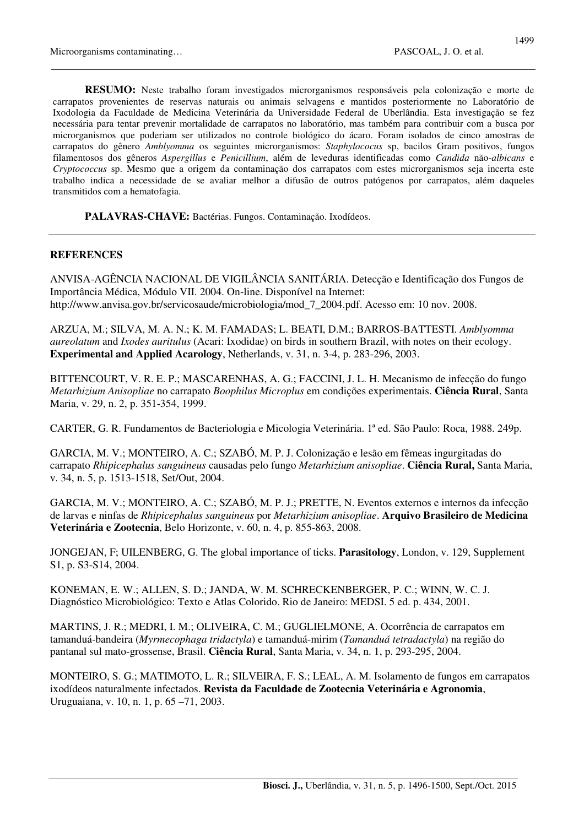**RESUMO:** Neste trabalho foram investigados microrganismos responsáveis pela colonização e morte de carrapatos provenientes de reservas naturais ou animais selvagens e mantidos posteriormente no Laboratório de Ixodologia da Faculdade de Medicina Veterinária da Universidade Federal de Uberlândia. Esta investigação se fez necessária para tentar prevenir mortalidade de carrapatos no laboratório, mas também para contribuir com a busca por microrganismos que poderiam ser utilizados no controle biológico do ácaro. Foram isolados de cinco amostras de carrapatos do gênero *Amblyomma* os seguintes microrganismos: *Staphylococus* sp, bacilos Gram positivos, fungos filamentosos dos gêneros *Aspergillus* e *Penicillium*, além de leveduras identificadas como *Candida* não-*albicans* e *Cryptococcus* sp. Mesmo que a origem da contaminação dos carrapatos com estes microrganismos seja incerta este trabalho indica a necessidade de se avaliar melhor a difusão de outros patógenos por carrapatos, além daqueles transmitidos com a hematofagia.

**PALAVRAS-CHAVE:** Bactérias. Fungos. Contaminação. Ixodídeos.

#### **REFERENCES**

ANVISA-AGÊNCIA NACIONAL DE VIGILÂNCIA SANITÁRIA. Detecção e Identificação dos Fungos de Importância Médica, Módulo VII. 2004. On-line. Disponível na Internet: http://www.anvisa.gov.br/servicosaude/microbiologia/mod\_7\_2004.pdf. Acesso em: 10 nov. 2008.

ARZUA, M.; SILVA, M. A. N.; K. M. FAMADAS; L. BEATI, D.M.; BARROS-BATTESTI. *Amblyomma aureolatum* and *Ixodes auritulus* (Acari: Ixodidae) on birds in southern Brazil, with notes on their ecology. **Experimental and Applied Acarology**, Netherlands, v. 31, n. 3-4, p. 283-296, 2003.

BITTENCOURT, V. R. E. P.; MASCARENHAS, A. G.; FACCINI, J. L. H. Mecanismo de infecção do fungo *Metarhizium Anisopliae* no carrapato *Boophilus Microplus* em condições experimentais. **Ciência Rural**, Santa Maria, v. 29, n. 2, p. 351-354, 1999.

CARTER, G. R. Fundamentos de Bacteriologia e Micologia Veterinária. 1ª ed. São Paulo: Roca, 1988. 249p.

GARCIA, M. V.; MONTEIRO, A. C.; SZABÓ, M. P. J. Colonização e lesão em fêmeas ingurgitadas do carrapato *Rhipicephalus sanguineus* causadas pelo fungo *Metarhizium anisopliae*. **Ciência Rural,** Santa Maria, v. 34, n. 5, p. 1513-1518, Set/Out, 2004.

GARCIA, M. V.; MONTEIRO, A. C.; SZABÓ, M. P. J.; PRETTE, N. Eventos externos e internos da infecção de larvas e ninfas de *Rhipicephalus sanguineus* por *Metarhizium anisopliae*. **Arquivo Brasileiro de Medicina Veterinária e Zootecnia**, Belo Horizonte, v. 60, n. 4, p. 855-863, 2008.

JONGEJAN, F; UILENBERG, G. The global importance of ticks. **Parasitology**, London, v. 129, Supplement S1, p. S3-S14, 2004.

KONEMAN, E. W.; ALLEN, S. D.; JANDA, W. M. SCHRECKENBERGER, P. C.; WINN, W. C. J. Diagnóstico Microbiológico: Texto e Atlas Colorido. Rio de Janeiro: MEDSI. 5 ed. p. 434, 2001.

MARTINS, J. R.; MEDRI, I. M.; OLIVEIRA, C. M.; GUGLIELMONE, A. Ocorrência de carrapatos em tamanduá-bandeira (*Myrmecophaga tridactyla*) e tamanduá-mirim (*Tamanduá tetradactyla*) na região do pantanal sul mato-grossense, Brasil. **Ciência Rural**, Santa Maria, v. 34, n. 1, p. 293-295, 2004.

MONTEIRO, S. G.; MATIMOTO, L. R.; SILVEIRA, F. S.; LEAL, A. M. Isolamento de fungos em carrapatos ixodídeos naturalmente infectados. **Revista da Faculdade de Zootecnia Veterinária e Agronomia**, Uruguaiana, v. 10, n. 1, p. 65 –71, 2003.